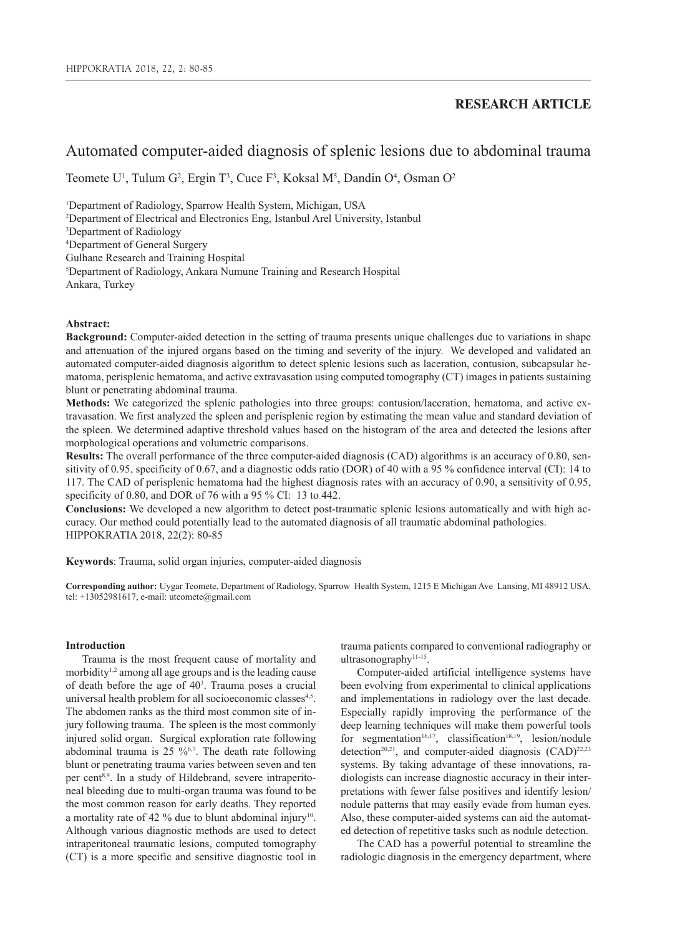## **RESEARCH ARTICLE**

# Automated computer-aided diagnosis of splenic lesions due to abdominal trauma

Teomete U<sup>1</sup>, Tulum G<sup>2</sup>, Ergin T<sup>3</sup>, Cuce F<sup>3</sup>, Koksal M<sup>5</sup>, Dandin O<sup>4</sup>, Osman O<sup>2</sup>

<sup>1</sup>Department of Radiology, Sparrow Health System, Michigan, USA 2 Department of Electrical and Electronics Eng, Istanbul Arel University, Istanbul 3 Department of Radiology 4 Department of General Surgery Gulhane Research and Training Hospital 5 Department of Radiology, Ankara Numune Training and Research Hospital Ankara, Turkey

## **Abstract:**

**Background:** Computer-aided detection in the setting of trauma presents unique challenges due to variations in shape and attenuation of the injured organs based on the timing and severity of the injury. We developed and validated an automated computer-aided diagnosis algorithm to detect splenic lesions such as laceration, contusion, subcapsular hematoma, perisplenic hematoma, and active extravasation using computed tomography (CT) images in patients sustaining blunt or penetrating abdominal trauma.

**Methods:** We categorized the splenic pathologies into three groups: contusion/laceration, hematoma, and active extravasation. We first analyzed the spleen and perisplenic region by estimating the mean value and standard deviation of the spleen. We determined adaptive threshold values based on the histogram of the area and detected the lesions after morphological operations and volumetric comparisons.

**Results:** The overall performance of the three computer-aided diagnosis (CAD) algorithms is an accuracy of 0.80, sensitivity of 0.95, specificity of 0.67, and a diagnostic odds ratio (DOR) of 40 with a 95 % confidence interval (CI): 14 to 117. The CAD of perisplenic hematoma had the highest diagnosis rates with an accuracy of 0.90, a sensitivity of 0.95, specificity of 0.80, and DOR of 76 with a 95 % CI: 13 to 442.

**Conclusions:** We developed a new algorithm to detect post-traumatic splenic lesions automatically and with high accuracy. Our method could potentially lead to the automated diagnosis of all traumatic abdominal pathologies. HIPPOKRATIA 2018, 22(2): 80-85

**Keywords**: Trauma, solid organ injuries, computer-aided diagnosis

**Corresponding author:** Uygar Teomete, Department of Radiology, Sparrow Health System, 1215 E Michigan Ave Lansing, MI 48912 USA, tel: +13052981617, e-mail: uteomete@gmail.com

## **Introduction**

Trauma is the most frequent cause of mortality and morbidity<sup>1,2</sup> among all age groups and is the leading cause of death before the age of 403 . Trauma poses a crucial universal health problem for all socioeconomic classes<sup>4,5</sup>. The abdomen ranks as the third most common site of injury following trauma. The spleen is the most commonly injured solid organ. Surgical exploration rate following abdominal trauma is  $25\frac{9}{67}$ . The death rate following blunt or penetrating trauma varies between seven and ten per cent8,9. In a study of Hildebrand, severe intraperitoneal bleeding due to multi-organ trauma was found to be the most common reason for early deaths. They reported a mortality rate of 42 % due to blunt abdominal injury<sup>10</sup>. Although various diagnostic methods are used to detect intraperitoneal traumatic lesions, computed tomography (CT) is a more specific and sensitive diagnostic tool in

trauma patients compared to conventional radiography or ultrasonography<sup>11-15</sup>.

Computer-aided artificial intelligence systems have been evolving from experimental to clinical applications and implementations in radiology over the last decade. Especially rapidly improving the performance of the deep learning techniques will make them powerful tools for segmentation<sup>16,17</sup>, classification<sup>18,19</sup>, lesion/nodule detection<sup>20,21</sup>, and computer-aided diagnosis  $(CAD)^{22,23}$ systems. By taking advantage of these innovations, radiologists can increase diagnostic accuracy in their interpretations with fewer false positives and identify lesion/ nodule patterns that may easily evade from human eyes. Also, these computer-aided systems can aid the automated detection of repetitive tasks such as nodule detection.

The CAD has a powerful potential to streamline the radiologic diagnosis in the emergency department, where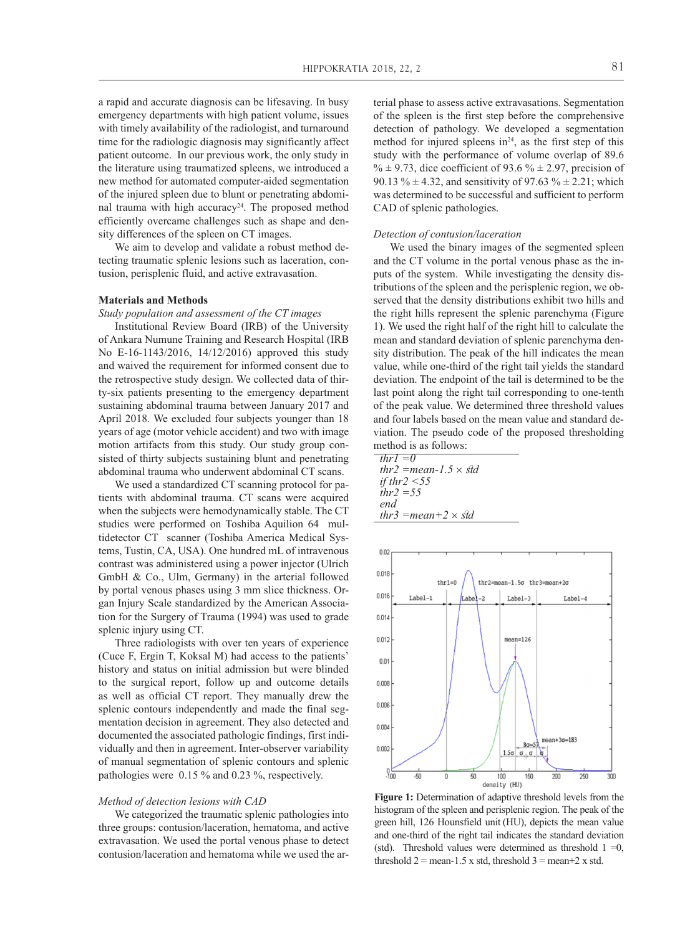a rapid and accurate diagnosis can be lifesaving. In busy emergency departments with high patient volume, issues with timely availability of the radiologist, and turnaround time for the radiologic diagnosis may significantly affect patient outcome. In our previous work, the only study in the literature using traumatized spleens, we introduced a new method for automated computer-aided segmentation of the injured spleen due to blunt or penetrating abdominal trauma with high accuracy<sup>24</sup>. The proposed method efficiently overcame challenges such as shape and density differences of the spleen on CT images.

We aim to develop and validate a robust method detecting traumatic splenic lesions such as laceration, contusion, perisplenic fluid, and active extravasation.

## **Materials and Methods**

*Study population and assessment of the CT images*

Institutional Review Board (IRB) of the University of Ankara Numune Training and Research Hospital (IRB No E-16-1143/2016, 14/12/2016) approved this study and waived the requirement for informed consent due to the retrospective study design. We collected data of thirty-six patients presenting to the emergency department sustaining abdominal trauma between January 2017 and April 2018. We excluded four subjects younger than 18 years of age (motor vehicle accident) and two with image motion artifacts from this study. Our study group consisted of thirty subjects sustaining blunt and penetrating abdominal trauma who underwent abdominal CT scans.

We used a standardized CT scanning protocol for patients with abdominal trauma. CT scans were acquired when the subjects were hemodynamically stable. The CT studies were performed on Toshiba Aquilion 64 multidetector CT scanner (Toshiba America Medical Systems, Tustin, CA, USA). One hundred mL of intravenous contrast was administered using a power injector (Ulrich GmbH & Co., Ulm, Germany) in the arterial followed by portal venous phases using 3 mm slice thickness. Organ Injury Scale standardized by the American Association for the Surgery of Trauma (1994) was used to grade splenic injury using CT.

Three radiologists with over ten years of experience (Cuce F, Ergin T, Koksal M) had access to the patients' history and status on initial admission but were blinded to the surgical report, follow up and outcome details as well as official CT report. They manually drew the splenic contours independently and made the final segmentation decision in agreement. They also detected and documented the associated pathologic findings, first individually and then in agreement. Inter-observer variability of manual segmentation of splenic contours and splenic pathologies were 0.15 % and 0.23 %, respectively.

#### *Method of detection lesions with CAD*

We categorized the traumatic splenic pathologies into three groups: contusion/laceration, hematoma, and active extravasation. We used the portal venous phase to detect contusion/laceration and hematoma while we used the arterial phase to assess active extravasations. Segmentation of the spleen is the first step before the comprehensive detection of pathology. We developed a segmentation method for injured spleens  $in<sup>24</sup>$ , as the first step of this study with the performance of volume overlap of 89.6 %  $\pm$  9.73, dice coefficient of 93.6 %  $\pm$  2.97, precision of 90.13 %  $\pm$  4.32, and sensitivity of 97.63 %  $\pm$  2.21; which was determined to be successful and sufficient to perform CAD of splenic pathologies.

#### *Detection of contusion/laceration*

We used the binary images of the segmented spleen and the CT volume in the portal venous phase as the inputs of the system. While investigating the density distributions of the spleen and the perisplenic region, we observed that the density distributions exhibit two hills and the right hills represent the splenic parenchyma (Figure 1). We used the right half of the right hill to calculate the mean and standard deviation of splenic parenchyma density distribution. The peak of the hill indicates the mean value, while one-third of the right tail yields the standard deviation. The endpoint of the tail is determined to be the last point along the right tail corresponding to one-tenth of the peak value. We determined three threshold values and four labels based on the mean value and standard deviation. The pseudo code of the proposed thresholding method is as follows:

| thr $l = 0$                    |  |
|--------------------------------|--|
| thr2 = mean - 1.5 $\times$ std |  |
| if thr2 $\leq$ 55              |  |
| <i>thr</i> $2 = 5.5$           |  |
| end                            |  |
| thr3 = mean + 2 $\times$ std   |  |



**Figure 1:** Determination of adaptive threshold levels from the histogram of the spleen and perisplenic region. The peak of the green hill, 126 Hounsfield unit (HU), depicts the mean value and one-third of the right tail indicates the standard deviation (std). Threshold values were determined as threshold  $1 = 0$ , threshold  $2 =$  mean-1.5 x std, threshold  $3 =$  mean+2 x std.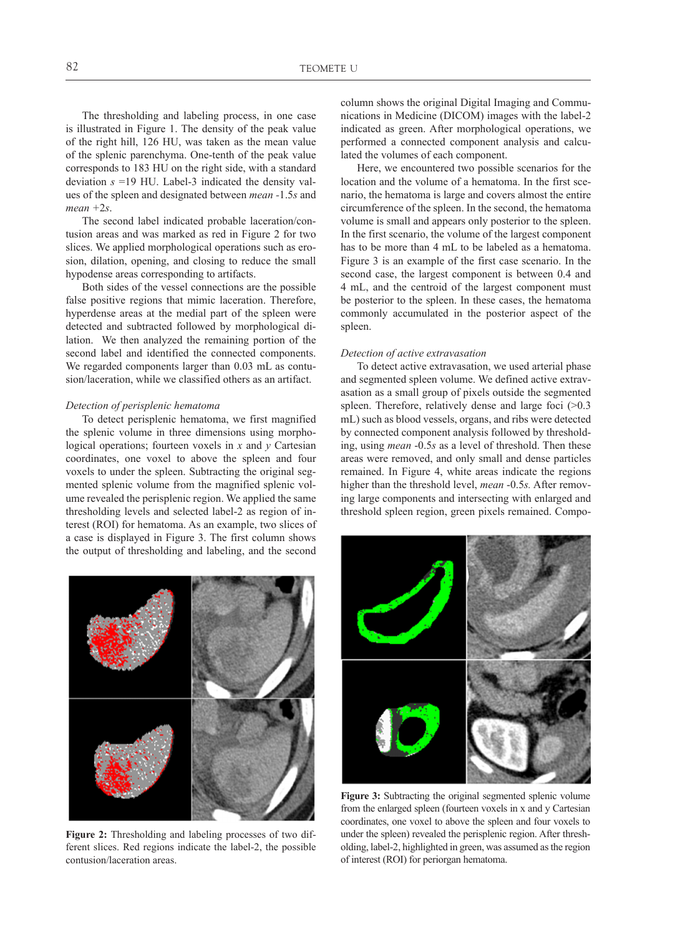The thresholding and labeling process, in one case is illustrated in Figure 1. The density of the peak value of the right hill, 126 HU, was taken as the mean value of the splenic parenchyma. One-tenth of the peak value corresponds to 183 HU on the right side, with a standard deviation *s* =19 HU. Label-3 indicated the density values of the spleen and designated between *mean -*1.5*s* and *mean +*2*s*.

The second label indicated probable laceration/contusion areas and was marked as red in Figure 2 for two slices. We applied morphological operations such as erosion, dilation, opening, and closing to reduce the small hypodense areas corresponding to artifacts.

Both sides of the vessel connections are the possible false positive regions that mimic laceration. Therefore, hyperdense areas at the medial part of the spleen were detected and subtracted followed by morphological dilation. We then analyzed the remaining portion of the second label and identified the connected components. We regarded components larger than 0.03 mL as contusion/laceration, while we classified others as an artifact.

## *Detection of perisplenic hematoma*

To detect perisplenic hematoma, we first magnified the splenic volume in three dimensions using morphological operations; fourteen voxels in *x* and *y* Cartesian coordinates, one voxel to above the spleen and four voxels to under the spleen. Subtracting the original segmented splenic volume from the magnified splenic volume revealed the perisplenic region. We applied the same thresholding levels and selected label-2 as region of interest (ROI) for hematoma. As an example, two slices of a case is displayed in Figure 3. The first column shows the output of thresholding and labeling, and the second



**Figure 2:** Thresholding and labeling processes of two different slices. Red regions indicate the label-2, the possible contusion/laceration areas.

column shows the original Digital Imaging and Communications in Medicine (DICOM) images with the label-2 indicated as green. After morphological operations, we performed a connected component analysis and calculated the volumes of each component.

Here, we encountered two possible scenarios for the location and the volume of a hematoma. In the first scenario, the hematoma is large and covers almost the entire circumference of the spleen. In the second, the hematoma volume is small and appears only posterior to the spleen. In the first scenario, the volume of the largest component has to be more than 4 mL to be labeled as a hematoma. Figure 3 is an example of the first case scenario. In the second case, the largest component is between 0.4 and 4 mL, and the centroid of the largest component must be posterior to the spleen. In these cases, the hematoma commonly accumulated in the posterior aspect of the spleen.

## *Detection of active extravasation*

To detect active extravasation, we used arterial phase and segmented spleen volume. We defined active extravasation as a small group of pixels outside the segmented spleen. Therefore, relatively dense and large foci (>0.3) mL) such as blood vessels, organs, and ribs were detected by connected component analysis followed by thresholding, using *mean* -0.5*s* as a level of threshold. Then these areas were removed, and only small and dense particles remained. In Figure 4, white areas indicate the regions higher than the threshold level, *mean* -0.5*s.* After removing large components and intersecting with enlarged and threshold spleen region, green pixels remained. Compo-



**Figure 3:** Subtracting the original segmented splenic volume from the enlarged spleen (fourteen voxels in x and y Cartesian coordinates, one voxel to above the spleen and four voxels to under the spleen) revealed the perisplenic region. After thresholding, label-2, highlighted in green, was assumed as the region of interest (ROI) for periorgan hematoma.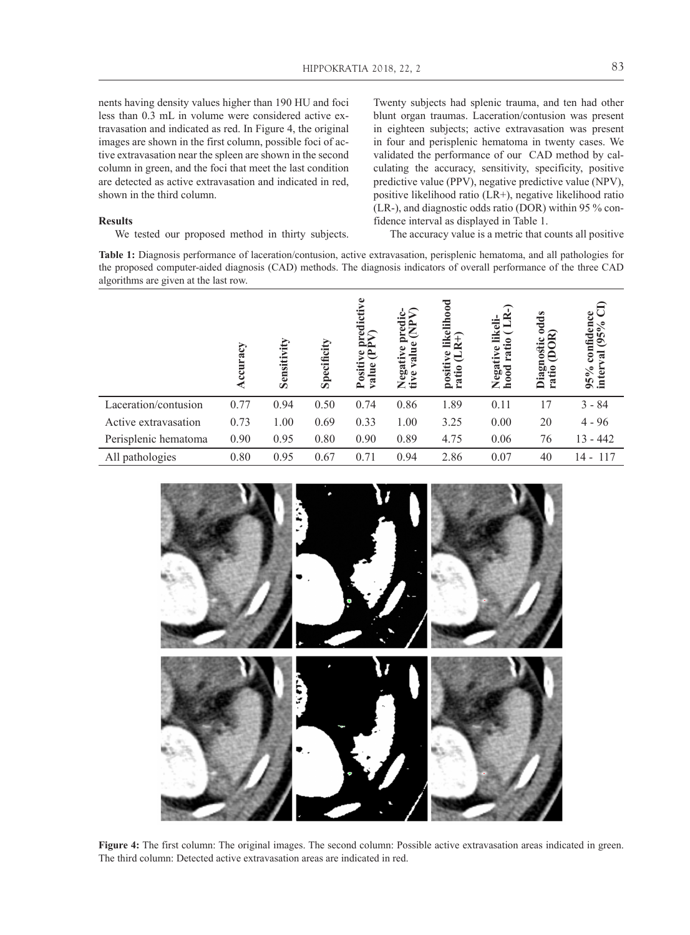nents having density values higher than 190 HU and foci less than 0.3 mL in volume were considered active extravasation and indicated as red. In Figure 4, the original images are shown in the first column, possible foci of active extravasation near the spleen are shown in the second column in green, and the foci that meet the last condition are detected as active extravasation and indicated in red, shown in the third column.

#### **Results**

We tested our proposed method in thirty subjects.

Twenty subjects had splenic trauma, and ten had other blunt organ traumas. Laceration/contusion was present in eighteen subjects; active extravasation was present in four and perisplenic hematoma in twenty cases. We validated the performance of our CAD method by calculating the accuracy, sensitivity, specificity, positive predictive value (PPV), negative predictive value (NPV), positive likelihood ratio (LR+), negative likelihood ratio (LR-), and diagnostic odds ratio (DOR) within 95 % confidence interval as displayed in Table 1.

The accuracy value is a metric that counts all positive

**Table 1:** Diagnosis performance of laceration/contusion, active extravasation, perisplenic hematoma, and all pathologies for the proposed computer-aided diagnosis (CAD) methods. The diagnosis indicators of overall performance of the three CAD algorithms are given at the last row.

|                      | ccuracy | Sensitivity | Specificity | Posi<br>valu | 50   | likelihood<br>≁<br>ڡ<br>positi<br>ratio | ದ<br>Negat<br>ᇰ<br>Š<br>≃ | å<br>डू<br>⊟<br>0<br>ឆ្នួ<br>ratio | ence<br>$(95\%$<br>confid<br>$95\%$<br>inter |
|----------------------|---------|-------------|-------------|--------------|------|-----------------------------------------|---------------------------|------------------------------------|----------------------------------------------|
| Laceration/contusion | 0.77    | 0.94        | 0.50        | 0.74         | 0.86 | 1.89                                    | 0.11                      | 17                                 | $3 - 84$                                     |
| Active extravasation | 0.73    | 1.00        | 0.69        | 0.33         | 1.00 | 3.25                                    | 0.00                      | 20                                 | $4 - 96$                                     |
| Perisplenic hematoma | 0.90    | 0.95        | 0.80        | 0.90         | 0.89 | 4.75                                    | 0.06                      | 76                                 | $13 - 442$                                   |
| All pathologies      | 0.80    | 0.95        | 0.67        | 0.71         | 0.94 | 2.86                                    | 0.07                      | 40                                 | 117<br>14 -                                  |



**Figure 4:** The first column: The original images. The second column: Possible active extravasation areas indicated in green. The third column: Detected active extravasation areas are indicated in red.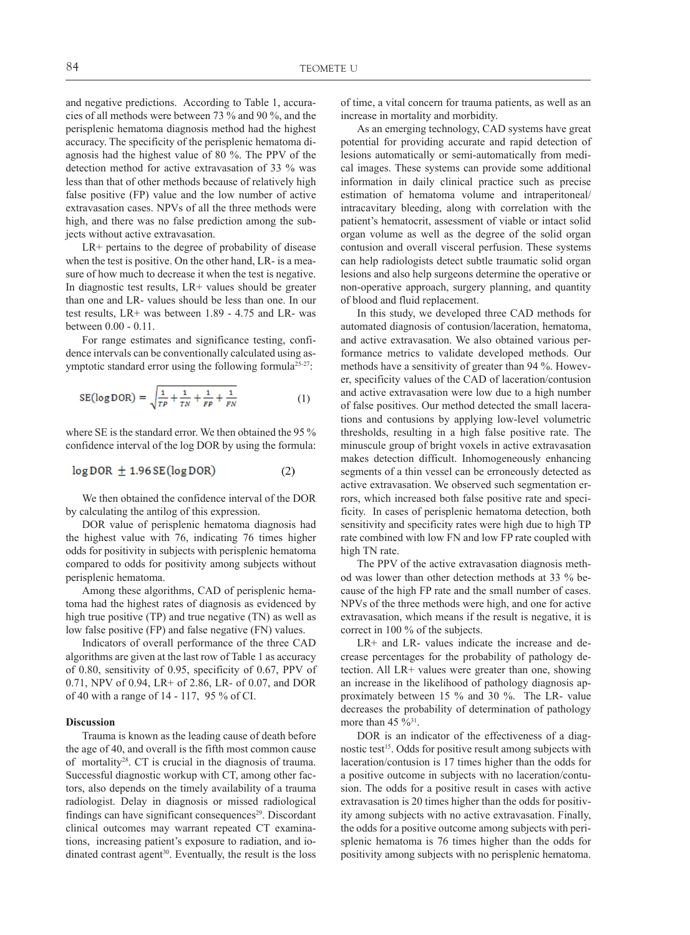and negative predictions. According to Table 1, accuracies of all methods were between 73 % and 90 %, and the perisplenic hematoma diagnosis method had the highest accuracy. The specificity of the perisplenic hematoma diagnosis had the highest value of 80 %. The PPV of the detection method for active extravasation of 33 % was less than that of other methods because of relatively high false positive (FP) value and the low number of active extravasation cases. NPVs of all the three methods were high, and there was no false prediction among the subjects without active extravasation.

LR+ pertains to the degree of probability of disease when the test is positive. On the other hand, LR- is a measure of how much to decrease it when the test is negative. In diagnostic test results,  $LR+$  values should be greater than one and LR- values should be less than one. In our test results,  $LR+$  was between  $1.89 - 4.75$  and  $LR-$  was between 0.00 - 0.11. (2)

For range estimates and significance testing, confidence intervals can be conventionally calculated using asymptotic standard error using the following formula<sup>25-27</sup>:

$$
SE(log\,DOR) = \sqrt{\frac{1}{TP} + \frac{1}{TN} + \frac{1}{FP} + \frac{1}{FN}}
$$
 (1)

where SE is the standard error. We then obtained the 95 % confidence interval of the log DOR by using the formula:

$$
\log \text{DOR} \pm 1.96 \, \text{SE}(\log \text{DOR}) \tag{2}
$$

We then obtained the confidence interval of the DOR by calculating the antilog of this expression.

DOR value of perisplenic hematoma diagnosis had the highest value with 76, indicating 76 times higher odds for positivity in subjects with perisplenic hematoma compared to odds for positivity among subjects without perisplenic hematoma.

Among these algorithms, CAD of perisplenic hematoma had the highest rates of diagnosis as evidenced by high true positive (TP) and true negative (TN) as well as low false positive (FP) and false negative (FN) values.

Indicators of overall performance of the three CAD algorithms are given at the last row of Table 1 as accuracy of 0.80, sensitivity of 0.95, specificity of 0.67, PPV of 0.71, NPV of 0.94, LR+ of 2.86, LR- of 0.07, and DOR of 40 with a range of 14 - 117, 95 % of CI.

#### **Discussion**

Trauma is known as the leading cause of death before the age of 40, and overall is the fifth most common cause of mortality28. CT is crucial in the diagnosis of trauma. Successful diagnostic workup with CT, among other factors, also depends on the timely availability of a trauma radiologist. Delay in diagnosis or missed radiological findings can have significant consequences<sup>29</sup>. Discordant clinical outcomes may warrant repeated CT examinations, increasing patient's exposure to radiation, and iodinated contrast agent<sup>30</sup>. Eventually, the result is the loss of time, a vital concern for trauma patients, as well as an increase in mortality and morbidity.

As an emerging technology, CAD systems have great potential for providing accurate and rapid detection of lesions automatically or semi-automatically from medical images. These systems can provide some additional information in daily clinical practice such as precise estimation of hematoma volume and intraperitoneal/ intracavitary bleeding, along with correlation with the patient's hematocrit, assessment of viable or intact solid organ volume as well as the degree of the solid organ contusion and overall visceral perfusion. These systems can help radiologists detect subtle traumatic solid organ lesions and also help surgeons determine the operative or non-operative approach, surgery planning, and quantity of blood and fluid replacement.

In this study, we developed three CAD methods for automated diagnosis of contusion/laceration, hematoma, and active extravasation. We also obtained various performance metrics to validate developed methods. Our methods have a sensitivity of greater than 94 %. However, specificity values of the CAD of laceration/contusion and active extravasation were low due to a high number of false positives. Our method detected the small lacerations and contusions by applying low-level volumetric thresholds, resulting in a high false positive rate. The minuscule group of bright voxels in active extravasation makes detection difficult. Inhomogeneously enhancing segments of a thin vessel can be erroneously detected as active extravasation. We observed such segmentation errors, which increased both false positive rate and specificity. In cases of perisplenic hematoma detection, both sensitivity and specificity rates were high due to high TP rate combined with low FN and low FP rate coupled with high TN rate.

The PPV of the active extravasation diagnosis method was lower than other detection methods at 33 % because of the high FP rate and the small number of cases. NPVs of the three methods were high, and one for active extravasation, which means if the result is negative, it is correct in 100 % of the subjects.

LR+ and LR- values indicate the increase and decrease percentages for the probability of pathology detection. All LR+ values were greater than one, showing an increase in the likelihood of pathology diagnosis approximately between 15 % and 30 %. The LR- value decreases the probability of determination of pathology more than  $45\%$ <sup>31</sup>.

DOR is an indicator of the effectiveness of a diagnostic test<sup>15</sup>. Odds for positive result among subjects with laceration/contusion is 17 times higher than the odds for a positive outcome in subjects with no laceration/contusion. The odds for a positive result in cases with active extravasation is 20 times higher than the odds for positivity among subjects with no active extravasation. Finally, the odds for a positive outcome among subjects with perisplenic hematoma is 76 times higher than the odds for positivity among subjects with no perisplenic hematoma.